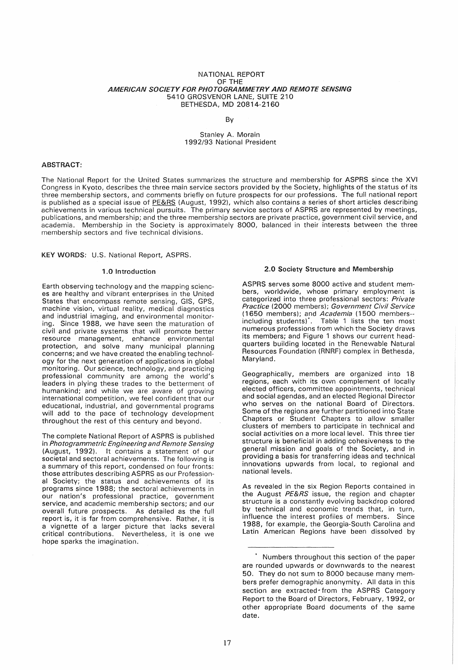#### NATIONAL REPORT OF THE AMERICAN SOCIETY FOR PHOTOGRAMMETRY AND REMOTE SENSING 5410 GROSVENOR LANE, SUITE 210 BETHESDA, MD 20814-2160

#### By

#### Stanley A. Morain 1992/93 National President

### ABSTRACT:

The National Report for the United States summarizes the structure and membership for ASPRS since the XVI Congress in Kyoto, describes the three main service sectors provided by the Society, highlights of the status of its three membership sectors, and comments briefly on future prospects for our professions. The full national report is published as a special issue of PE&RS (August, 1992), which also contains a series of short articles describing achievements in various technical pursuits. The primary service sectors of ASPRS are represented by meetings, publications, and membership; and the three membership sectors are private practice, government civil service, and academia. Membership in the Society is approximately 8000, balanced in their interests between the three membership sectors and five technical divisions.

KEY WORDS: U.S. National Report, ASPRS.

#### 1.0 Introduction

Earth observing technology and the mapping sciences are healthy and vibrant enterprises in the United States that encompass remote sensing, GIS, GPS, machine vision, virtual reality, medical diagnostics and industrial imaging, and environmental monitoring. Since 1988, we have seen the maturation of civil and private systems that will promote better resource management, enhance environmental protection, and solve many municipal planning concerns; and we have created the enabling technology for the next generation of applications in global monitoring. Our science, technology, and practicing professional community are among the world's leaders in plying these trades to the betterment of humankind; and while we are aware of growing international competition, we feel confident that our educational, industrial, and governmental programs will add to the pace of technology development throughout the rest of this century and beyond.

The complete National Report of ASPRS is published in Photogrammetric Engineering and Remote Sensing (August, 1992). It contains a statement of our societal and sectoral achievements. The following is a summary of this report, condensed on four fronts: those attributes describing ASPRS as our Professional Society; the status and achievements of its programs since 1988; the sectoral achievements in our nation's professional practice, government service, and academic membership sectors; and our overall future prospects. As detailed as the full report is, it is far from comprehensive. Rather, it is a vignette of a larger picture that lacks several critical contributions. Nevertheless, it is one we hope sparks the imagination.

#### 2.0 Society Structure and Membership

ASPRS serves some 8000 active and student members, worldwide, whose primary employment is categorized into three professional sectors: Private Practice (2000 members); Government Civil Service (1650 members); and Academia (1500 members-including students)'. Table 1 lists the ten most numerous professions from which the Society draws its members; and Figure 1 shows our current headquarters building located in the Renewable Natural Resources Foundation (RNRF) complex in Bethesda, Maryland.

Geographically, members are organized into 18 regions, each with its own complement of locally elected officers, committee appointments, technical and social agendas, and an elected Regional Director who serves on the national Board of Directors. Some of the regions are further partitioned into State Chapters or Student Chapters to allow smaller clusters of members to participate in technical and social activities on a more local level. This three tier structure is beneficial in adding cohesiveness to the general mission and goals of the Society, and in providing a basis for transferring ideas and technical innovations upwards from local, to regional and national levels.

As revealed in the six Region Reports contained in the August PE&RS issue, the region and chapter structure is a constantly evolving backdrop colored by technical and economic trends that, in turn, influence the interest profiles of members. Since 1988, for example, the Georgia-South Carolina and Latin American Regions have been dissolved by

<sup>•</sup> Numbers throughout this section of the paper are rounded upwards or downwards to the nearest 50. They do not sum to 8000 because many members prefer demographic anonymity. All data in this section are extracted from the ASPRS Category Report to the Board of Directors, February, 1992, or other appropriate Board documents of the same date.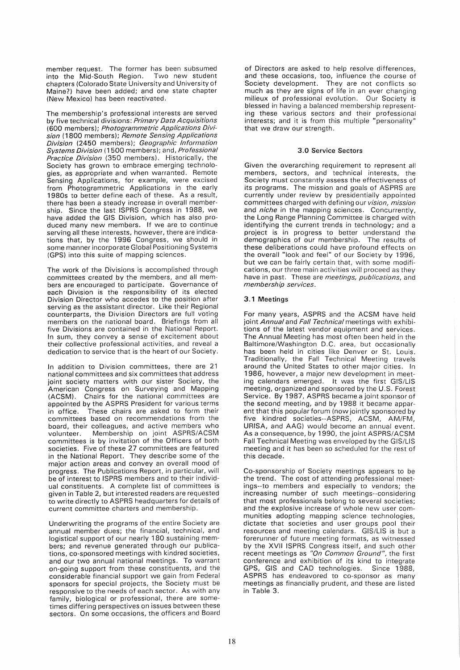member request. The former has been subsumed<br>into the Mid-South Region. Two new student into the Mid-South Region. chapters (Colorado State University and University of Maine?) have been added; and one state chapter (New Mexico) has been reactivated.

The membership's professional interests are served by five technical divisions: Primary Data Acquisitions (600 members); Photogrammetric Applications Division (1800 members); Remote Sensing Applications Division (2450 members); Geographic Information Systems Division (1500 members); and, Professional Practice Division (350 members). Historically, the Society has grown to embrace emerging technologies, as appropriate and when warranted. Remote Sensing Applications, for example, were excised from Photogrammetric Applications in the early 1980s to better define each of these. As a result, there has been a steady increase in overall membership. Since the last ISPRS Congress in 1988, we have added the GIS Division, which has also produced many new members. If we are to continue serving all these interests, however, there are indications that, by the 1996 Congress, we should in some manner incorporate Global Positioning Systems (GPS) into this suite of mapping sciences.

The work of the Divisions is accomplished through committees created by the members, and all members are encouraged to participate. Governance of each Division is the responsibility of its elected Division Director who accedes to the position after serving as the assistant director. Like their Regional counterparts, the Division Directors are full voting members on the national board. Briefings from all five Divisions are contained in the National Report. In sum, they convey a sense of excitement about their collective professional activities, and reveal a dedication to service that is the heart of our Society.

In addition to Division committees, there are 21 national committees and six committees that address joint society matters with our sister Society, the American Congress on Surveying and Mapping (ACSM). Chairs for the national committees are appointed by the ASPRS President for various terms in office. These chairs are asked to form their These chairs are asked to form their committees based on recommendations from the board, their colleagues, and active members who volunteer. Membership on joint ASPRS/ACSM committees is by invitation of the Officers of both societies. Five of these 27 committees are featured in the National Report. They describe some of the major action areas and convey an overall mood of progress. The Publications Report, in particular, will be of interest to ISPRS members and to their individual constituents. A complete list of committees is given in Table 2, but interested readers are requested to write directly to ASPRS headquarters for details of current committee charters and membership.

Underwriting the programs of the entire Society are annual member dues; the financial, technical, and logistical support of our nearly 180 sustaining members; and revenue generated through our publications, co-sponsored meetings with kindred societies, and our two annual national meetings. To warrant on-going support from these constituents, and the considerable financial support we gain from Federal sponsors for special projects, the Society must be responsive to the needs of each sector. As with any family, biological or professional, there are sometimes differing perspectives on issues between these sectors. On some occasions, the officers and Board

of Directors are asked to help resolve differences, and these occasions, too, influence the course of Society development. They are not conflicts so much as they are signs of life in an ever changing milieux of professional evolution. Our Society is blessed in having a balanced membership representing these various sectors and their professional interests; and it is from this multiple "personality" that we draw our strength.

#### 3.0 Service Sectors

Given the overarching requirement to represent all members, sectors, and technical interests, the Society must constantly assess the effectiveness of its programs. The mission and goals of ASPRS are currently under review by presidentially appointed committees charged with defining our vision, mission and *niche* in the mapping sciences. Concurrently, the Long Range Planning Committee is charged with identifying the current trends in technology; and a project is in progress to better understand the demographics of our membership. The results of these deliberations could have profound effects on the overall "look and feel" of our Society by 1996, but we can be fairly certain that, with some modifications, our three main activities will proceed as they have in past. These are meetings, publications, and membership services.

## 3.1 Meetings

For many years, ASPRS and the ACSM have held joint Annual and Fall Technical meetings with exhibitions of the latest vendor equipment and services. The Annual Meeting has most often been held in the Baltimore/Washington D.C. area, but occasionally has been held in cities like Denver or St. Louis. Traditionally, the Fall Technical Meeting travels around the United States to other major cities. In 1986, however, a major new development in meeting calendars emerged. It was the first GIS/LIS meeting, organized and sponsored by the U.S. Forest Service. By 1987, ASPRS became a joint sponsor of the second meeting, and by 1988 it became apparent that this popular forum (now jointly sponsored by five kindred societies--ASPRS, ACSM, AM/FM, URISA, and AAG) would become an annual event. As a consequence, by 1990, the joint ASPRS/ACSM Fall Technical Meeting was enveloped by the GIS/LIS meeting and it has been so scheduled for the rest of this decade.

Co-sponsorship of Society meetings appears to be the trend. The cost of attending professional meetings--to members and especially to vendors; the increasing number of such meetings--considering that most professionals belong to several societies; and the explosive increase of whole new user communities adopting mapping science technologies, dictate that societies and user groups pool their resources and meeting calendars. GIS/LIS is but a forerunner of future meeting formats, as witnessed by the XVII ISPRS Congress itself, and such other recent meetings as "On Common Ground", the first conference and exhibition of its kind to integrate GPS, GIS and CAD technologies. Since 1988, ASPRS has endeavored to co-sponsor as many meetings as financially prudent, and these are listed in Table 3.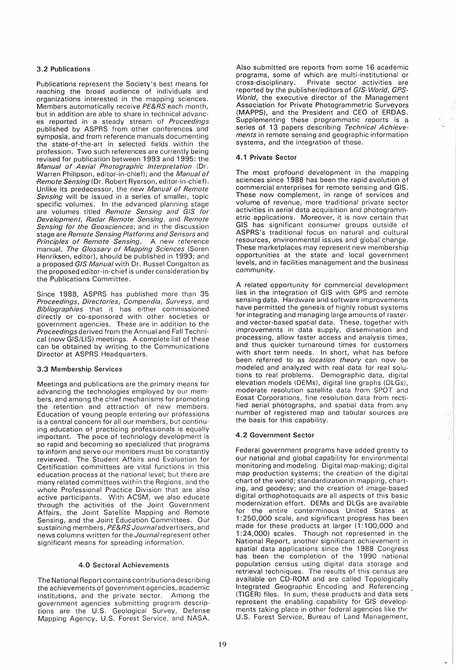## 3.2 Publications

Publications represent the Society's best means for reaching the broad audience of individuals and organizations interested in the mapping sciences. Members automatically receive PE&RS each month, but in addition are able to share in technical advances reported in a steady stream of Proceedings published by ASPRS from other conferences and symposia, and from reference manuals documenting the state-of-the-art in selected fields within the profession. Two such references are currently being revised for publication between 1993 and 1995: the Manual of Aerial Photographic Interpretation (Dr. Warren Philipson, editor-in-chief); and the *Manual of* -Remote Sensing (Dr. Robert Ryerson, editor-in-chief). Unlike its predecessor, the new Manual of Remote Sensing will be issued in a series of smaller, topic specific volumes. In the advanced planning stage are volumes titled Remote Sensing and GIS for Development, Radar Remote Sensing, and Remote Sensing for the Geosciences; and in the discussion stage are Remote Sensing Platforms and Sensors and Principles of Remote Sensing. A new reference manual, The Glossary of Mapping Sciences (Soren Henriksen, editor), should be published in 1993; and a proposed GIS Manual with Dr. Russel Congalton as the proposed editor-in-chief is under consideration by the Publications Committee.

Since 1988, ASPRS has published more than 35 Proceedings, Directories, Compendia, Surveys, and Bibliographies that it has either commissioned directly or co-sponsored with other societies or government agencies. These are in addition to the Proceedings derived from the Annual and Fall Technical (now GIS/LIS) meetings. A complete list of these can be obtained by writing to the Communications Director at ASPRS Headquarters.

## 3.3 Membership Services

Meetings and publications are the primary means for advancing the technologies employed by our members, and among the chief mechanisms for promoting the retention and attraction of new members. Education of young people entering our professions is a central concern for all our members, but continuing education of practicing professionals is equally important. The pace of technology development is so rapid and becoming so specialized that programs to inform and serve our members must be constantly reviewed. The Student Affairs and Evaluation for Certification committees are vital functions in this education process at the national level; but there are many related committees within the Regions, and the whole Professional Practice Division that are also active participants. With ACSM, we also educate through the activities of the Joint Government Affairs, the Joint Satellite Mapping and Remote Sensing, and the Joint Education Committees. Our sustaining members, PE&RS Journal advertisers, and news columns written for the Journal represent other significant means for spreading information.

## 4.0 Sectoral Achievements

The National Report contains contributions describing the achievements of government agencies, academic institutions, and the private sector. Among the government agencies submitting program descriptions are the U.S. Geological Survey, Defense Mapping Agency, U.S. Forest Service, and NASA.

Also submitted are reports from some 16 academic programs, some of which are multi-institutional or cross-disciplinary. Private sector activities are reported by the publisher/editors of GIS-World, GPS-World, the executive director of the Management Association for Private Photogrammetric Surveyors (MAPPS), and the President and CEO of ERDAS. Supplementing these programmatic reports is a series of 13 papers describing Technical Achievements in remote sensing and geographic information systems, and the integration of these.

## 4.1 Private Sector

The most profound development in the mapping sciences since 1988 has been the rapid evolution of commercial enterprises for remote sensing and GIS. These now complement, in range of services and volume of revenue, more traditional private sector activities in aerial data acquisition and photogrammetric applications. Moreover, it is now certain that GIS has significant consumer groups outside of ASPRS's traditional focus on natural and cultural resources, environmental issues and global change. These marketplaces may represent new membership opportunities at the state and local government levels, and in facilities management and the business community.

A related opportunity for commercial development lies in the integration of GIS with GPS and remote sensing data. Hardware and software improvements have permitted the genesis of highly robust systems for integrating and managing large amounts of rasterand vector-based spatial data. These, together with improvements in data supply, dissemination and processing, allow faster access and analysis times, and thus quicker turnaround times for customers with short term needs. In short, what has before been referred to as location theory can now be modeled and analyzed with real data for real solutions to real problems. Demographic data, digital elevation models (OEMs), digital line graphs (DLGs), moderate resolution satellite data from SPOT and Eosat Corporations, fine resolution data from rectified aerial photographs, and spatial data from any number of registered map and tabular sources are the basis for this capability.

## 4.2 Government Sector

Federal government programs have added greatly to our national and global capability for environmental monitoring and modeling. Digital map-making; digital map production systems; the creation of the digital chart of the world; standardization in mapping, charting, and geodesy; and the creation of image-based digital orthophotoquads are all aspects of this basic modernization effort. OEMs and DLGs are available for the entire conterminous United States at 1 :250,000 scale, and significant progress has been made for these products at larger (1:100,000 and 1 :24,000) scales. Though not represented in the National Report, another significant achievement in spatial data applications since the 1988 Congress has been the completion of the 1990 national population census using digital data storage and retrieval techniques. The results of this census are available on CD-ROM and are called Topologically Integrated Geographic Encoding and Referencing (TIGER) files. In sum, these products and data sets' represent the enabling capability for GIS developments taking place in other federal agencies like the U.S. Forest Service, Bureau of Land Management,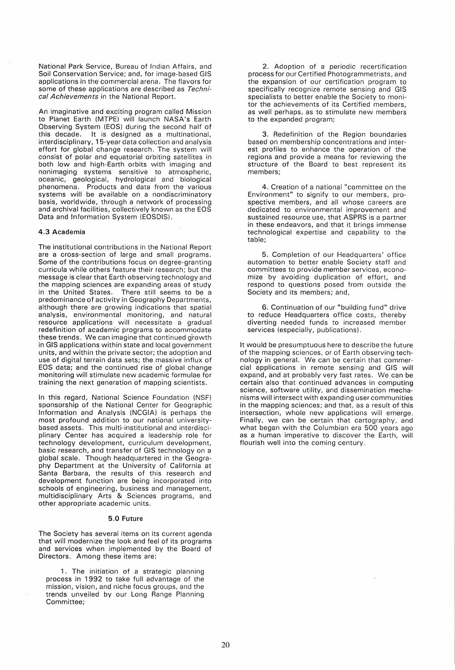National Park Service, Bureau of Indian Affairs, and Soil Conservation Service; and, for image-based GIS applications in the commercial arena. The flavors for some of these applications are described as Technical Achievements in the National Report.

An imaginative and exciting program called Mission to Planet Earth (MTPE) will launch NASA's Earth Observing System (EOS) during the second half of this decade. It is designed as a multinational, interdisciplinary, 15-year data collection and analysis effort for global change research. The system will consist of polar and equatorial orbiting satellites in both low and high-Earth orbits with imaging and nonimaging systems sensitive to atmospheric, oceanic, geological, hydrological and biological phenomena. Products and data from the various systems will be available on a nondiscriminatory basis, worldwide, through a network of processing and archival facilities, collectively known as the EOS Data and Information System (EOSDIS).

#### 4.3 Academia

The institutional contributions in the National Report are a cross-section of large and small programs. Some of the contributions focus on degree-granting curricula while others feature their research; but the message is clear that Earth observing technology and the mapping sciences are expanding areas of study in the United States. There still seems to be a predominance of activity in Geography Departments, although there are growing indications that spatial analysis, environmental monitoring, and natural resource applications will necessitate a gradual redefinition of academic programs to accommodate these trends. We can imagine that continued g'rowth in GIS applications within state and local government units, and within the private sector; the adoption and use of digital terrain data sets; the massive influx of EOS data; and the continued rise of global change monitoring will stimulate new academic formulae for training the next generation of mapping scientists.

In this regard, National Science Foundation (NSF) sponsorship of the National Center for Geographic Information and Analysis (NCGIA) is perhaps the most profound addition to our national universitybased assets. This multi-institutional and interdisciplinary Center has acquired a leadership role for technology development, curriculum development, basic research, and transfer of GIS technology on a global scale. Though headquartered in the Geography Department at the University of California at Santa Barbara, the results of this research and development function are being incorporated into schools of engineering, business and management, multidisciplinary Arts & Sciences programs, and other appropriate academic units.

#### 5.0 Future

The Society has several items on its current agenda that will modernize the look and feel of its programs and services when implemented by the Board of Directors. Among these items are:

1. The initiation of a strategic planning process in 1992 to take full advantage of the mission, vision, and niche focus groups, and the trends unveiled by our Long Range Planning Committee;

2. Adoption of a periodic recertification process for our Certified Photogrammetrists, and the expansion of our certification program to specifically recognize remote sensing and GIS specialists to better enable the Society to monitor the achievements of its Certified members, as well perhaps, as to stimulate new members to the expanded program;

3. Redefinition of the Region boundaries based on membership concentrations and interest profiles to enhance the operation of the regions and provide a means for reviewing the structure of the Board to best represent its members;

4. Creation of a national "committee on the Environment" to signify to our members, prospective members, and all whose careers are dedicated to environmental improvement and sustained resource use, that ASPRS is a partner in these endeavors, and that it brings immense technological expertise and capability to the table;

5. Completion of our Headquarters' office automation to better enable Society staff and committees to provide member services, economize by avoiding duplication of effort, and respond to questions posed from outside the Society and its members; and,

6. Continuation of our "building fund" drive to reduce Headquarters office costs, thereby diverting needed funds to increased member services (especially, publications).

It would be presumptuous here to describe the future of the mapping sciences, or of Earth observing technology in general. We can be certain that commercial applications in remote sensing and GIS will expand, and at probably very fast rates. We can be certain also that continued advances in computing science, software utility, and dissemination mechanisms will intersect with expanding user communities in the mapping sciences; and that, as a result of this intersection, whole new applications will emerge. Finally, we can be certain that cartography, and what began with the Columbian era 500 years ago as a human imperative to discover the Earth, will flourish well into the coming century.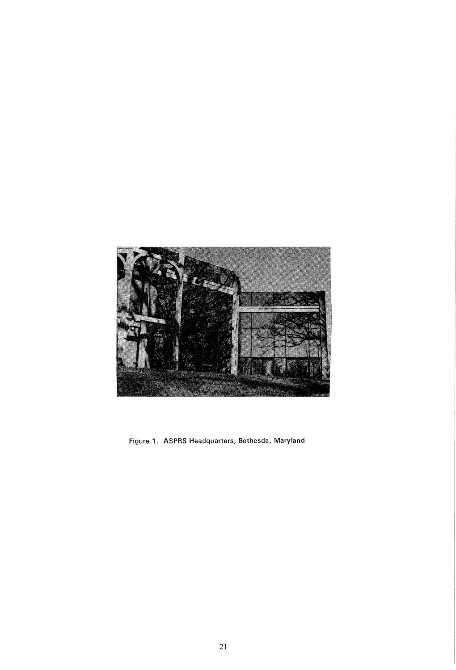

Figure 1. ASPRS Headquarters, Bethesda, Maryland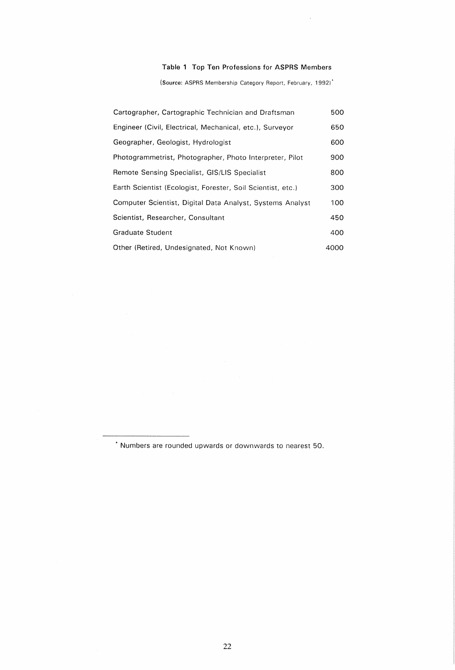# Table 1 Top Ten Professions for ASPRS Members

(Source: ASPRS Membership Category Report, February, 1992)'

| Cartographer, Cartographic Technician and Draftsman         | 500  |
|-------------------------------------------------------------|------|
| Engineer (Civil, Electrical, Mechanical, etc.), Surveyor    | 650  |
| Geographer, Geologist, Hydrologist                          | 600  |
| Photogrammetrist, Photographer, Photo Interpreter, Pilot    | 900  |
| Remote Sensing Specialist, GIS/LIS Specialist               | 800  |
| Earth Scientist (Ecologist, Forester, Soil Scientist, etc.) | 300  |
| Computer Scientist, Digital Data Analyst, Systems Analyst   | 100  |
| Scientist, Researcher, Consultant                           | 450  |
| Graduate Student                                            | 400  |
| Other (Retired, Undesignated, Not Known)                    | 4000 |

• Numbers are rounded upwards or downwards to nearest 50.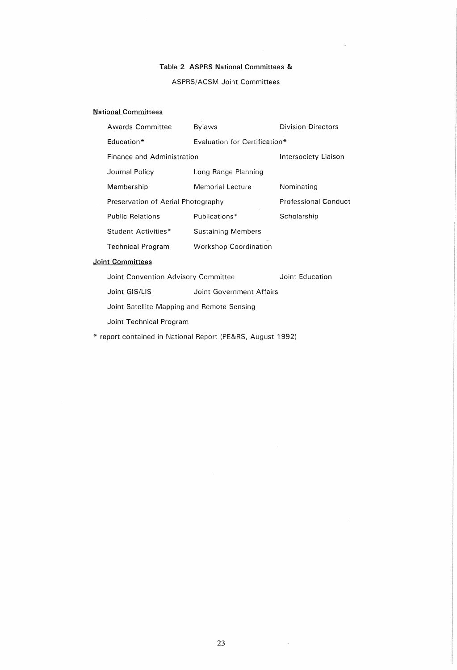# Table 2 ASPRS National Committees &

## ASPRS/ACSM Joint Committees

# National Committees

|                         | <b>Awards Committee</b>            | <b>Bylaws</b>                 | <b>Division Directors</b>   |  |  |
|-------------------------|------------------------------------|-------------------------------|-----------------------------|--|--|
|                         | Education*                         | Evaluation for Certification* |                             |  |  |
|                         | Finance and Administration         |                               | Intersociety Liaison        |  |  |
|                         | Journal Policy                     | Long Range Planning           |                             |  |  |
|                         | Membership                         | Memorial Lecture              | Nominating                  |  |  |
|                         | Preservation of Aerial Photography |                               | <b>Professional Conduct</b> |  |  |
|                         | <b>Public Relations</b>            | Publications*                 | Scholarship                 |  |  |
|                         | Student Activities*                | Sustaining Members            |                             |  |  |
|                         | <b>Technical Program</b>           | <b>Workshop Coordination</b>  |                             |  |  |
| <b>Joint Committees</b> |                                    |                               |                             |  |  |

Joint Convention Advisory Committee **Joint Education** 

Joint GIS/LIS Joint Government Affairs

Joint Satellite Mapping and Remote Sensing

Joint Technical Program

\* report contained in National Report (PE&RS, August 1992)

 $\sim$